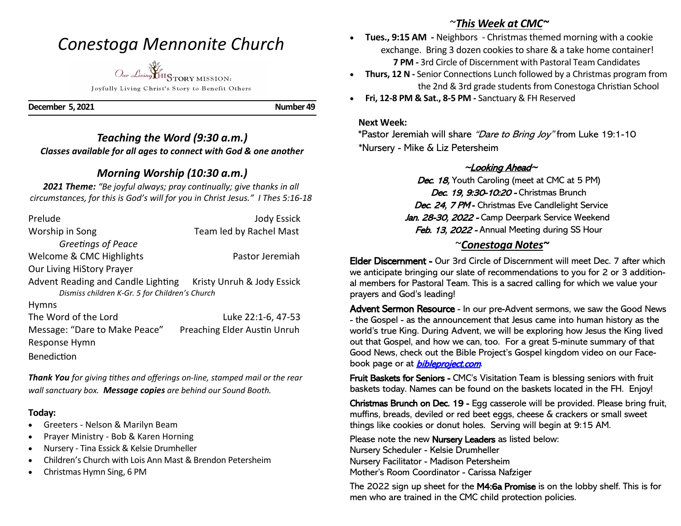# *Conestoga Mennonite Church*



Joyfully Living Christ's Story to Benefit Others

**December 5, 2021** Number 49

# *Teaching the Word (9:30 a.m.) Classes available for all ages to connect with God & one another*

# *Morning Worship (10:30 a.m.)*

*2021 Theme: "Be joyful always; pray continually; give thanks in all circumstances, for this is God's will for you in Christ Jesus." I Thes 5:16-18*

| Prelude                                                       | <b>Jody Essick</b>           |
|---------------------------------------------------------------|------------------------------|
| Worship in Song                                               | Team led by Rachel Mast      |
| Greetings of Peace                                            |                              |
| Welcome & CMC Highlights                                      | Pastor Jeremiah              |
| Our Living HiStory Prayer                                     |                              |
| Advent Reading and Candle Lighting Kristy Unruh & Jody Essick |                              |
| Dismiss children K-Gr. 5 for Children's Church                |                              |
| <b>Hymns</b>                                                  |                              |
| The Word of the Lord                                          | Luke 22:1-6, 47-53           |
| Message: "Dare to Make Peace"                                 | Preaching Elder Austin Unruh |
| Response Hymn                                                 |                              |
| <b>Benediction</b>                                            |                              |

*Thank You for giving tithes and offerings on-line, stamped mail or the rear wall sanctuary box. Message copies are behind our Sound Booth.*

#### **Today:**

- Greeters Nelson & Marilyn Beam
- Prayer Ministry Bob & Karen Horning
- Nursery Tina Essick & Kelsie Drumheller
- Children's Church with Lois Ann Mast & Brendon Petersheim
- Christmas Hymn Sing, 6 PM

# ~*This Week at CMC~*

- **Tues., 9:15 AM -** Neighbors Christmas themed morning with a cookie exchange. Bring 3 dozen cookies to share & a take home container! **7 PM -** 3rd Circle of Discernment with Pastoral Team Candidates
- **Thurs, 12 N -** Senior Connections Lunch followed by a Christmas program from the 2nd & 3rd grade students from Conestoga Christian School
- **Fri, 12-8 PM & Sat., 8-5 PM -** Sanctuary & FH Reserved

#### **Next Week:**

\*Pastor Jeremiah will share "Dare to Bring Joy" from Luke 19:1-10 \*Nursery - Mike & Liz Petersheim

## $\sim$ Looking Ahead $\sim$

Dec. 18, Youth Caroling (meet at CMC at 5 PM) Dec. 19, 9:30-10:20 - Christmas Brunch Dec. 24, 7 PM - Christmas Eve Candlelight Service Jan. 28-30, 2022 - Camp Deerpark Service Weekend Feb. 13, 2022 - Annual Meeting during SS Hour

## ~*Conestoga Notes~*

Elder Discernment - Our 3rd Circle of Discernment will meet Dec. 7 after which we anticipate bringing our slate of recommendations to you for 2 or 3 additional members for Pastoral Team. This is a sacred calling for which we value your prayers and God's leading!

Advent Sermon Resource - In our pre-Advent sermons, we saw the Good News - the Gospel - as the announcement that Jesus came into human history as the world's true King. During Advent, we will be exploring how Jesus the King lived out that Gospel, and how we can, too. For a great 5-minute summary of that Good News, check out the Bible Project's Gospel kingdom video on our Facebook page or at **bibleproject.com**.

Fruit Baskets for Seniors - CMC's Visitation Team is blessing seniors with fruit baskets today. Names can be found on the baskets located in the FH. Enjoy!

Christmas Brunch on Dec. 19 - Egg casserole will be provided. Please bring fruit, muffins, breads, deviled or red beet eggs, cheese & crackers or small sweet things like cookies or donut holes. Serving will begin at 9:15 AM.

Please note the new Nursery Leaders as listed below: Nursery Scheduler - Kelsie Drumheller Nursery Facilitator - Madison Petersheim Mother's Room Coordinator - Carissa Nafziger

The 2022 sign up sheet for the M4:6a Promise is on the lobby shelf. This is for men who are trained in the CMC child protection policies.